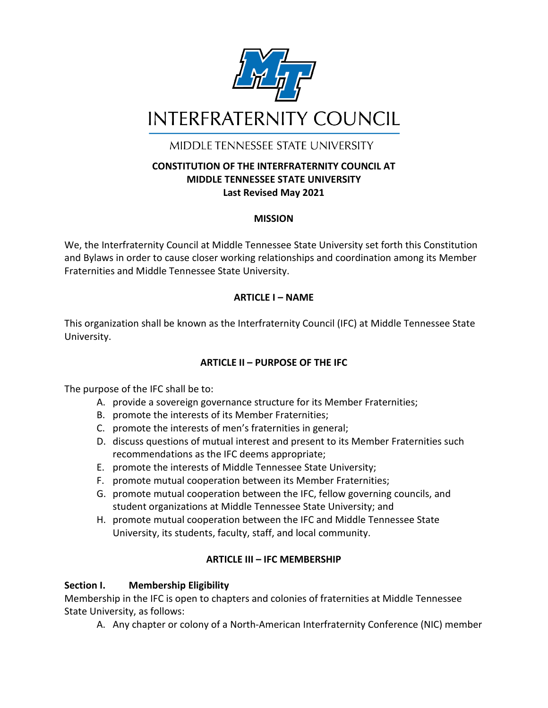

MIDDI F TENNESSEE STATE UNIVERSITY

### **CONSTITUTION OF THE INTERFRATERNITY COUNCIL AT MIDDLE TENNESSEE STATE UNIVERSITY Last Revised May 2021**

### **MISSION**

We, the Interfraternity Council at Middle Tennessee State University set forth this Constitution and Bylaws in order to cause closer working relationships and coordination among its Member Fraternities and Middle Tennessee State University.

### **ARTICLE I – NAME**

This organization shall be known as the Interfraternity Council (IFC) at Middle Tennessee State University.

## **ARTICLE II – PURPOSE OF THE IFC**

The purpose of the IFC shall be to:

- A. provide a sovereign governance structure for its Member Fraternities;
- B. promote the interests of its Member Fraternities;
- C. promote the interests of men's fraternities in general;
- D. discuss questions of mutual interest and present to its Member Fraternities such recommendations as the IFC deems appropriate;
- E. promote the interests of Middle Tennessee State University;
- F. promote mutual cooperation between its Member Fraternities;
- G. promote mutual cooperation between the IFC, fellow governing councils, and student organizations at Middle Tennessee State University; and
- H. promote mutual cooperation between the IFC and Middle Tennessee State University, its students, faculty, staff, and local community.

#### **ARTICLE III – IFC MEMBERSHIP**

#### **Section I. Membership Eligibility**

Membership in the IFC is open to chapters and colonies of fraternities at Middle Tennessee State University, as follows:

A. Any chapter or colony of a North-American Interfraternity Conference (NIC) member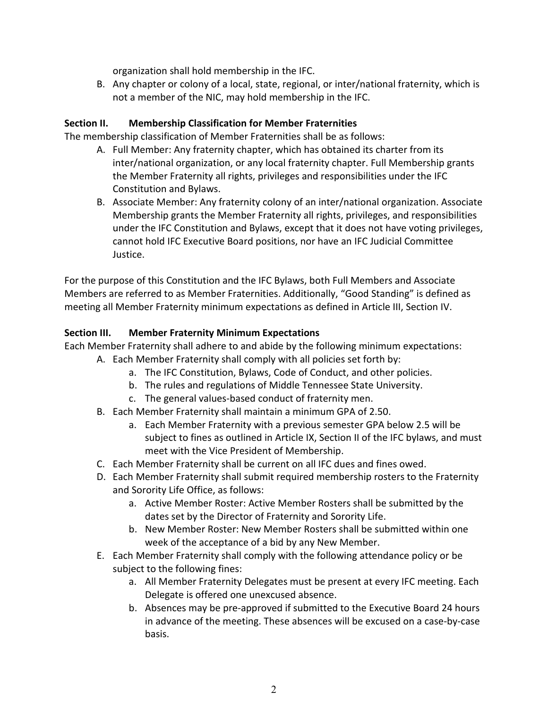organization shall hold membership in the IFC.

B. Any chapter or colony of a local, state, regional, or inter/national fraternity, which is not a member of the NIC, may hold membership in the IFC.

#### **Section II. Membership Classification for Member Fraternities**

The membership classification of Member Fraternities shall be as follows:

- A. Full Member: Any fraternity chapter, which has obtained its charter from its inter/national organization, or any local fraternity chapter. Full Membership grants the Member Fraternity all rights, privileges and responsibilities under the IFC Constitution and Bylaws.
- B. Associate Member: Any fraternity colony of an inter/national organization. Associate Membership grants the Member Fraternity all rights, privileges, and responsibilities under the IFC Constitution and Bylaws, except that it does not have voting privileges, cannot hold IFC Executive Board positions, nor have an IFC Judicial Committee Justice.

For the purpose of this Constitution and the IFC Bylaws, both Full Members and Associate Members are referred to as Member Fraternities. Additionally, "Good Standing" is defined as meeting all Member Fraternity minimum expectations as defined in Article III, Section IV.

#### **Section III. Member Fraternity Minimum Expectations**

Each Member Fraternity shall adhere to and abide by the following minimum expectations:

- A. Each Member Fraternity shall comply with all policies set forth by:
	- a. The IFC Constitution, Bylaws, Code of Conduct, and other policies.
	- b. The rules and regulations of Middle Tennessee State University.
	- c. The general values-based conduct of fraternity men.
- B. Each Member Fraternity shall maintain a minimum GPA of 2.50.
	- a. Each Member Fraternity with a previous semester GPA below 2.5 will be subject to fines as outlined in Article IX, Section II of the IFC bylaws, and must meet with the Vice President of Membership.
- C. Each Member Fraternity shall be current on all IFC dues and fines owed.
- D. Each Member Fraternity shall submit required membership rosters to the Fraternity and Sorority Life Office, as follows:
	- a. Active Member Roster: Active Member Rosters shall be submitted by the dates set by the Director of Fraternity and Sorority Life.
	- b. New Member Roster: New Member Rosters shall be submitted within one week of the acceptance of a bid by any New Member.
- E. Each Member Fraternity shall comply with the following attendance policy or be subject to the following fines:
	- a. All Member Fraternity Delegates must be present at every IFC meeting. Each Delegate is offered one unexcused absence.
	- b. Absences may be pre-approved if submitted to the Executive Board 24 hours in advance of the meeting. These absences will be excused on a case-by-case basis.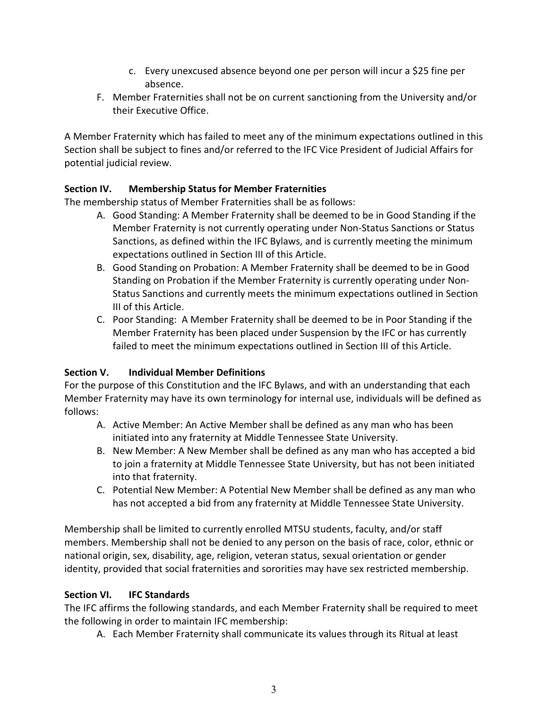- c. Every unexcused absence beyond one per person will incur a \$25 fine per absence.
- F. Member Fraternities shall not be on current sanctioning from the University and/or their Executive Office.

A Member Fraternity which has failed to meet any of the minimum expectations outlined in this Section shall be subject to fines and/or referred to the IFC Vice President of Judicial Affairs for potential judicial review.

## **Section IV. Membership Status for Member Fraternities**

The membership status of Member Fraternities shall be as follows:

- A. Good Standing: A Member Fraternity shall be deemed to be in Good Standing if the Member Fraternity is not currently operating under Non-Status Sanctions or Status Sanctions, as defined within the IFC Bylaws, and is currently meeting the minimum expectations outlined in Section III of this Article.
- B. Good Standing on Probation: A Member Fraternity shall be deemed to be in Good Standing on Probation if the Member Fraternity is currently operating under Non-Status Sanctions and currently meets the minimum expectations outlined in Section III of this Article.
- C. Poor Standing: A Member Fraternity shall be deemed to be in Poor Standing if the Member Fraternity has been placed under Suspension by the IFC or has currently failed to meet the minimum expectations outlined in Section III of this Article.

## **Section V. Individual Member Definitions**

For the purpose of this Constitution and the IFC Bylaws, and with an understanding that each Member Fraternity may have its own terminology for internal use, individuals will be defined as follows:

- A. Active Member: An Active Member shall be defined as any man who has been initiated into any fraternity at Middle Tennessee State University.
- B. New Member: A New Member shall be defined as any man who has accepted a bid to join a fraternity at Middle Tennessee State University, but has not been initiated into that fraternity.
- C. Potential New Member: A Potential New Member shall be defined as any man who has not accepted a bid from any fraternity at Middle Tennessee State University.

Membership shall be limited to currently enrolled MTSU students, faculty, and/or staff members. Membership shall not be denied to any person on the basis of race, color, ethnic or national origin, sex, disability, age, religion, veteran status, sexual orientation or gender identity, provided that social fraternities and sororities may have sex restricted membership.

## **Section VI. IFC Standards**

The IFC affirms the following standards, and each Member Fraternity shall be required to meet the following in order to maintain IFC membership:

A. Each Member Fraternity shall communicate its values through its Ritual at least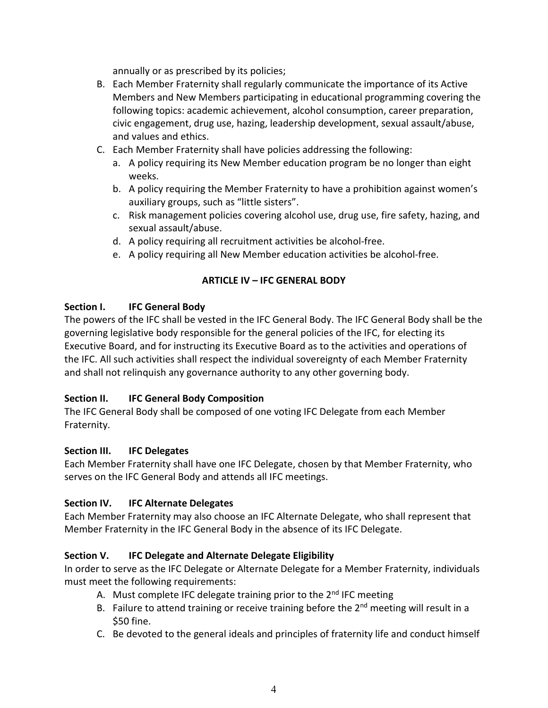annually or as prescribed by its policies;

- B. Each Member Fraternity shall regularly communicate the importance of its Active Members and New Members participating in educational programming covering the following topics: academic achievement, alcohol consumption, career preparation, civic engagement, drug use, hazing, leadership development, sexual assault/abuse, and values and ethics.
- C. Each Member Fraternity shall have policies addressing the following:
	- a. A policy requiring its New Member education program be no longer than eight weeks.
	- b. A policy requiring the Member Fraternity to have a prohibition against women's auxiliary groups, such as "little sisters".
	- c. Risk management policies covering alcohol use, drug use, fire safety, hazing, and sexual assault/abuse.
	- d. A policy requiring all recruitment activities be alcohol-free.
	- e. A policy requiring all New Member education activities be alcohol-free.

### **ARTICLE IV – IFC GENERAL BODY**

#### **Section I. IFC General Body**

The powers of the IFC shall be vested in the IFC General Body. The IFC General Body shall be the governing legislative body responsible for the general policies of the IFC, for electing its Executive Board, and for instructing its Executive Board as to the activities and operations of the IFC. All such activities shall respect the individual sovereignty of each Member Fraternity and shall not relinquish any governance authority to any other governing body.

#### **Section II. IFC General Body Composition**

The IFC General Body shall be composed of one voting IFC Delegate from each Member Fraternity.

#### **Section III. IFC Delegates**

Each Member Fraternity shall have one IFC Delegate, chosen by that Member Fraternity, who serves on the IFC General Body and attends all IFC meetings.

#### **Section IV. IFC Alternate Delegates**

Each Member Fraternity may also choose an IFC Alternate Delegate, who shall represent that Member Fraternity in the IFC General Body in the absence of its IFC Delegate.

## **Section V. IFC Delegate and Alternate Delegate Eligibility**

In order to serve as the IFC Delegate or Alternate Delegate for a Member Fraternity, individuals must meet the following requirements:

- A. Must complete IFC delegate training prior to the 2<sup>nd</sup> IFC meeting
- B. Failure to attend training or receive training before the  $2<sup>nd</sup>$  meeting will result in a \$50 fine.
- C. Be devoted to the general ideals and principles of fraternity life and conduct himself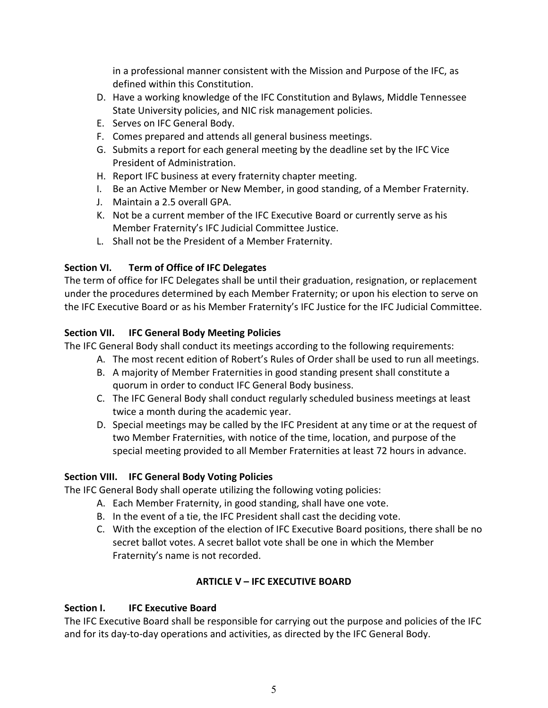in a professional manner consistent with the Mission and Purpose of the IFC, as defined within this Constitution.

- D. Have a working knowledge of the IFC Constitution and Bylaws, Middle Tennessee State University policies, and NIC risk management policies.
- E. Serves on IFC General Body.
- F. Comes prepared and attends all general business meetings.
- G. Submits a report for each general meeting by the deadline set by the IFC Vice President of Administration.
- H. Report IFC business at every fraternity chapter meeting.
- I. Be an Active Member or New Member, in good standing, of a Member Fraternity.
- J. Maintain a 2.5 overall GPA.
- K. Not be a current member of the IFC Executive Board or currently serve as his Member Fraternity's IFC Judicial Committee Justice.
- L. Shall not be the President of a Member Fraternity.

## **Section VI. Term of Office of IFC Delegates**

The term of office for IFC Delegates shall be until their graduation, resignation, or replacement under the procedures determined by each Member Fraternity; or upon his election to serve on the IFC Executive Board or as his Member Fraternity's IFC Justice for the IFC Judicial Committee.

## **Section VII. IFC General Body Meeting Policies**

The IFC General Body shall conduct its meetings according to the following requirements:

- A. The most recent edition of Robert's Rules of Order shall be used to run all meetings.
- B. A majority of Member Fraternities in good standing present shall constitute a quorum in order to conduct IFC General Body business.
- C. The IFC General Body shall conduct regularly scheduled business meetings at least twice a month during the academic year.
- D. Special meetings may be called by the IFC President at any time or at the request of two Member Fraternities, with notice of the time, location, and purpose of the special meeting provided to all Member Fraternities at least 72 hours in advance.

# **Section VIII. IFC General Body Voting Policies**

The IFC General Body shall operate utilizing the following voting policies:

- A. Each Member Fraternity, in good standing, shall have one vote.
- B. In the event of a tie, the IFC President shall cast the deciding vote.
- C. With the exception of the election of IFC Executive Board positions, there shall be no secret ballot votes. A secret ballot vote shall be one in which the Member Fraternity's name is not recorded.

# **ARTICLE V – IFC EXECUTIVE BOARD**

## **Section I. IFC Executive Board**

The IFC Executive Board shall be responsible for carrying out the purpose and policies of the IFC and for its day-to-day operations and activities, as directed by the IFC General Body.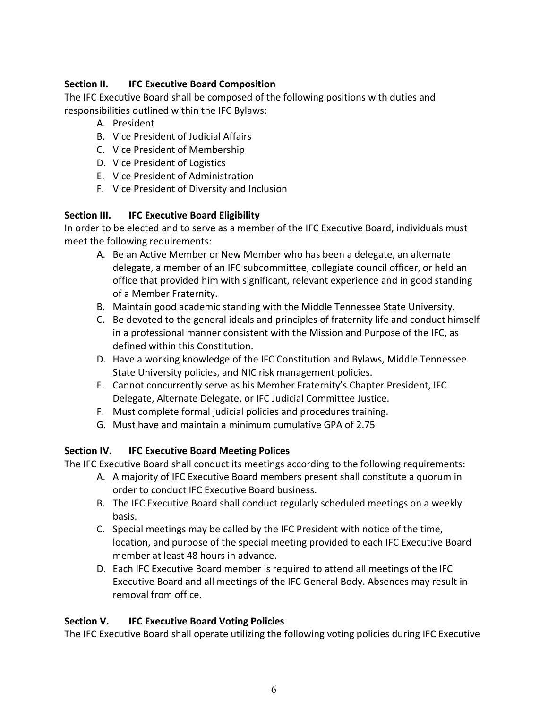### **Section II. IFC Executive Board Composition**

The IFC Executive Board shall be composed of the following positions with duties and responsibilities outlined within the IFC Bylaws:

- A. President
- B. Vice President of Judicial Affairs
- C. Vice President of Membership
- D. Vice President of Logistics
- E. Vice President of Administration
- F. Vice President of Diversity and Inclusion

### **Section III. IFC Executive Board Eligibility**

In order to be elected and to serve as a member of the IFC Executive Board, individuals must meet the following requirements:

- A. Be an Active Member or New Member who has been a delegate, an alternate delegate, a member of an IFC subcommittee, collegiate council officer, or held an office that provided him with significant, relevant experience and in good standing of a Member Fraternity.
- B. Maintain good academic standing with the Middle Tennessee State University.
- C. Be devoted to the general ideals and principles of fraternity life and conduct himself in a professional manner consistent with the Mission and Purpose of the IFC, as defined within this Constitution.
- D. Have a working knowledge of the IFC Constitution and Bylaws, Middle Tennessee State University policies, and NIC risk management policies.
- E. Cannot concurrently serve as his Member Fraternity's Chapter President, IFC Delegate, Alternate Delegate, or IFC Judicial Committee Justice.
- F. Must complete formal judicial policies and procedures training.
- G. Must have and maintain a minimum cumulative GPA of 2.75

#### **Section IV. IFC Executive Board Meeting Polices**

The IFC Executive Board shall conduct its meetings according to the following requirements:

- A. A majority of IFC Executive Board members present shall constitute a quorum in order to conduct IFC Executive Board business.
- B. The IFC Executive Board shall conduct regularly scheduled meetings on a weekly basis.
- C. Special meetings may be called by the IFC President with notice of the time, location, and purpose of the special meeting provided to each IFC Executive Board member at least 48 hours in advance.
- D. Each IFC Executive Board member is required to attend all meetings of the IFC Executive Board and all meetings of the IFC General Body. Absences may result in removal from office.

## **Section V. IFC Executive Board Voting Policies**

The IFC Executive Board shall operate utilizing the following voting policies during IFC Executive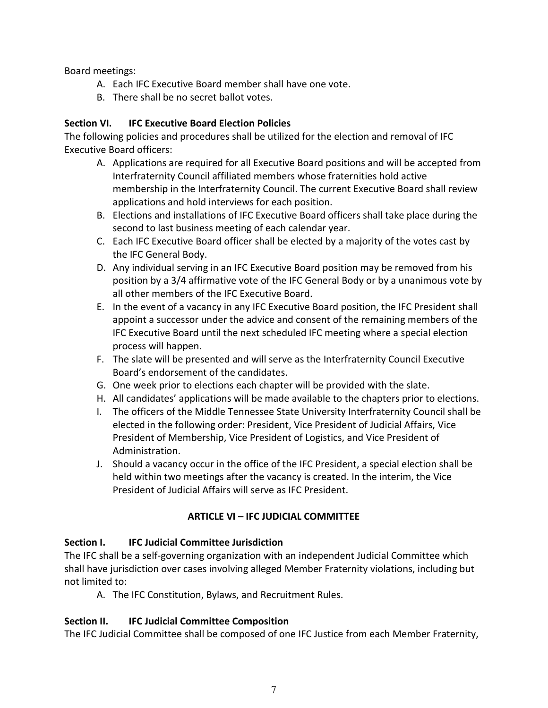Board meetings:

- A. Each IFC Executive Board member shall have one vote.
- B. There shall be no secret ballot votes.

#### **Section VI. IFC Executive Board Election Policies**

The following policies and procedures shall be utilized for the election and removal of IFC Executive Board officers:

- A. Applications are required for all Executive Board positions and will be accepted from Interfraternity Council affiliated members whose fraternities hold active membership in the Interfraternity Council. The current Executive Board shall review applications and hold interviews for each position.
- B. Elections and installations of IFC Executive Board officers shall take place during the second to last business meeting of each calendar year.
- C. Each IFC Executive Board officer shall be elected by a majority of the votes cast by the IFC General Body.
- D. Any individual serving in an IFC Executive Board position may be removed from his position by a 3/4 affirmative vote of the IFC General Body or by a unanimous vote by all other members of the IFC Executive Board.
- E. In the event of a vacancy in any IFC Executive Board position, the IFC President shall appoint a successor under the advice and consent of the remaining members of the IFC Executive Board until the next scheduled IFC meeting where a special election process will happen.
- F. The slate will be presented and will serve as the Interfraternity Council Executive Board's endorsement of the candidates.
- G. One week prior to elections each chapter will be provided with the slate.
- H. All candidates' applications will be made available to the chapters prior to elections.
- I. The officers of the Middle Tennessee State University Interfraternity Council shall be elected in the following order: President, Vice President of Judicial Affairs, Vice President of Membership, Vice President of Logistics, and Vice President of Administration.
- J. Should a vacancy occur in the office of the IFC President, a special election shall be held within two meetings after the vacancy is created. In the interim, the Vice President of Judicial Affairs will serve as IFC President.

#### **ARTICLE VI – IFC JUDICIAL COMMITTEE**

#### **Section I. IFC Judicial Committee Jurisdiction**

The IFC shall be a self-governing organization with an independent Judicial Committee which shall have jurisdiction over cases involving alleged Member Fraternity violations, including but not limited to:

A. The IFC Constitution, Bylaws, and Recruitment Rules.

#### **Section II. IFC Judicial Committee Composition**

The IFC Judicial Committee shall be composed of one IFC Justice from each Member Fraternity,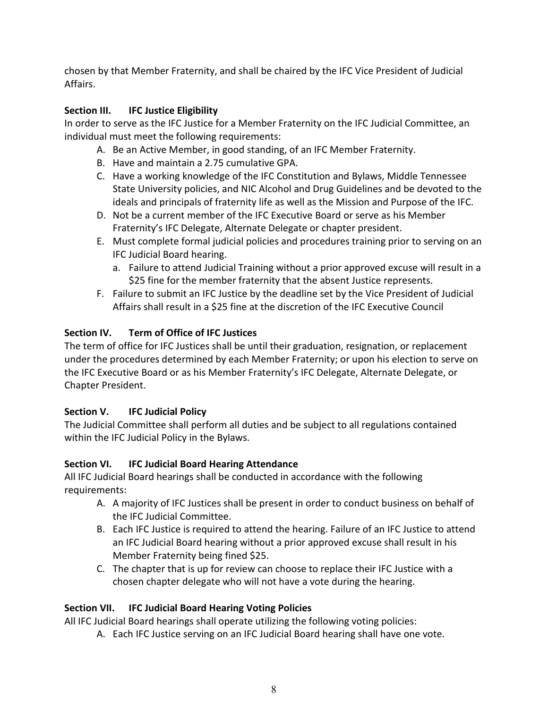chosen by that Member Fraternity, and shall be chaired by the IFC Vice President of Judicial Affairs.

# **Section III. IFC Justice Eligibility**

In order to serve as the IFC Justice for a Member Fraternity on the IFC Judicial Committee, an individual must meet the following requirements:

- A. Be an Active Member, in good standing, of an IFC Member Fraternity.
- B. Have and maintain a 2.75 cumulative GPA.
- C. Have a working knowledge of the IFC Constitution and Bylaws, Middle Tennessee State University policies, and NIC Alcohol and Drug Guidelines and be devoted to the ideals and principals of fraternity life as well as the Mission and Purpose of the IFC.
- D. Not be a current member of the IFC Executive Board or serve as his Member Fraternity's IFC Delegate, Alternate Delegate or chapter president.
- E. Must complete formal judicial policies and procedures training prior to serving on an IFC Judicial Board hearing.
	- a. Failure to attend Judicial Training without a prior approved excuse will result in a \$25 fine for the member fraternity that the absent Justice represents.
- F. Failure to submit an IFC Justice by the deadline set by the Vice President of Judicial Affairs shall result in a \$25 fine at the discretion of the IFC Executive Council

## **Section IV. Term of Office of IFC Justices**

The term of office for IFC Justices shall be until their graduation, resignation, or replacement under the procedures determined by each Member Fraternity; or upon his election to serve on the IFC Executive Board or as his Member Fraternity's IFC Delegate, Alternate Delegate, or Chapter President.

# **Section V. IFC Judicial Policy**

The Judicial Committee shall perform all duties and be subject to all regulations contained within the IFC Judicial Policy in the Bylaws.

# **Section VI. IFC Judicial Board Hearing Attendance**

All IFC Judicial Board hearings shall be conducted in accordance with the following requirements:

- A. A majority of IFC Justices shall be present in order to conduct business on behalf of the IFC Judicial Committee.
- B. Each IFC Justice is required to attend the hearing. Failure of an IFC Justice to attend an IFC Judicial Board hearing without a prior approved excuse shall result in his Member Fraternity being fined \$25.
- C. The chapter that is up for review can choose to replace their IFC Justice with a chosen chapter delegate who will not have a vote during the hearing.

# **Section VII. IFC Judicial Board Hearing Voting Policies**

All IFC Judicial Board hearings shall operate utilizing the following voting policies:

A. Each IFC Justice serving on an IFC Judicial Board hearing shall have one vote.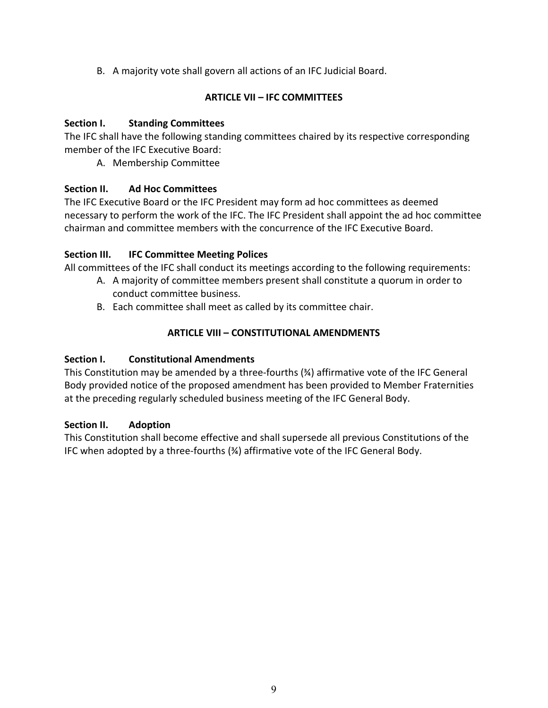B. A majority vote shall govern all actions of an IFC Judicial Board.

#### **ARTICLE VII – IFC COMMITTEES**

### **Section I. Standing Committees**

The IFC shall have the following standing committees chaired by its respective corresponding member of the IFC Executive Board:

A. Membership Committee

## **Section II. Ad Hoc Committees**

The IFC Executive Board or the IFC President may form ad hoc committees as deemed necessary to perform the work of the IFC. The IFC President shall appoint the ad hoc committee chairman and committee members with the concurrence of the IFC Executive Board.

## **Section III. IFC Committee Meeting Polices**

All committees of the IFC shall conduct its meetings according to the following requirements:

- A. A majority of committee members present shall constitute a quorum in order to conduct committee business.
- B. Each committee shall meet as called by its committee chair.

## **ARTICLE VIII – CONSTITUTIONAL AMENDMENTS**

## **Section I. Constitutional Amendments**

This Constitution may be amended by a three-fourths (¾) affirmative vote of the IFC General Body provided notice of the proposed amendment has been provided to Member Fraternities at the preceding regularly scheduled business meeting of the IFC General Body.

## **Section II. Adoption**

This Constitution shall become effective and shall supersede all previous Constitutions of the IFC when adopted by a three-fourths (¾) affirmative vote of the IFC General Body.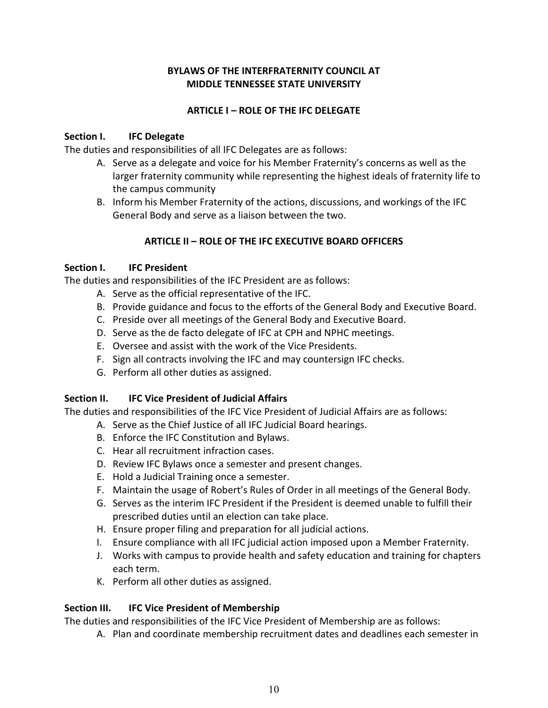#### **BYLAWS OF THE INTERFRATERNITY COUNCIL AT MIDDLE TENNESSEE STATE UNIVERSITY**

#### **ARTICLE I – ROLE OF THE IFC DELEGATE**

#### **Section I. IFC Delegate**

The duties and responsibilities of all IFC Delegates are as follows:

- A. Serve as a delegate and voice for his Member Fraternity's concerns as well as the larger fraternity community while representing the highest ideals of fraternity life to the campus community
- B. Inform his Member Fraternity of the actions, discussions, and workings of the IFC General Body and serve as a liaison between the two.

#### **ARTICLE II – ROLE OF THE IFC EXECUTIVE BOARD OFFICERS**

#### **Section I. IFC President**

The duties and responsibilities of the IFC President are as follows:

- A. Serve as the official representative of the IFC.
- B. Provide guidance and focus to the efforts of the General Body and Executive Board.
- C. Preside over all meetings of the General Body and Executive Board.
- D. Serve as the de facto delegate of IFC at CPH and NPHC meetings.
- E. Oversee and assist with the work of the Vice Presidents.
- F. Sign all contracts involving the IFC and may countersign IFC checks.
- G. Perform all other duties as assigned.

#### **Section II. IFC Vice President of Judicial Affairs**

The duties and responsibilities of the IFC Vice President of Judicial Affairs are as follows:

- A. Serve as the Chief Justice of all IFC Judicial Board hearings.
- B. Enforce the IFC Constitution and Bylaws.
- C. Hear all recruitment infraction cases.
- D. Review IFC Bylaws once a semester and present changes.
- E. Hold a Judicial Training once a semester.
- F. Maintain the usage of Robert's Rules of Order in all meetings of the General Body.
- G. Serves as the interim IFC President if the President is deemed unable to fulfill their prescribed duties until an election can take place.
- H. Ensure proper filing and preparation for all judicial actions.
- I. Ensure compliance with all IFC judicial action imposed upon a Member Fraternity.
- J. Works with campus to provide health and safety education and training for chapters each term.
- K. Perform all other duties as assigned.

#### **Section III. IFC Vice President of Membership**

The duties and responsibilities of the IFC Vice President of Membership are as follows:

A. Plan and coordinate membership recruitment dates and deadlines each semester in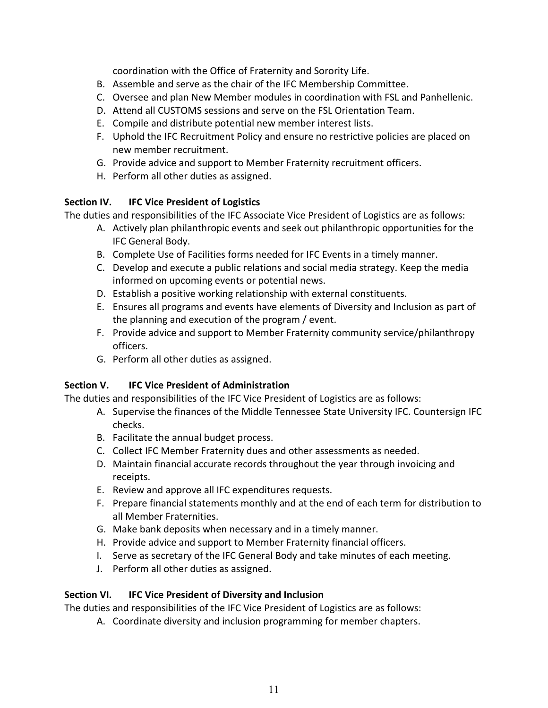coordination with the Office of Fraternity and Sorority Life.

- B. Assemble and serve as the chair of the IFC Membership Committee.
- C. Oversee and plan New Member modules in coordination with FSL and Panhellenic.
- D. Attend all CUSTOMS sessions and serve on the FSL Orientation Team.
- E. Compile and distribute potential new member interest lists.
- F. Uphold the IFC Recruitment Policy and ensure no restrictive policies are placed on new member recruitment.
- G. Provide advice and support to Member Fraternity recruitment officers.
- H. Perform all other duties as assigned.

### **Section IV. IFC Vice President of Logistics**

The duties and responsibilities of the IFC Associate Vice President of Logistics are as follows:

- A. Actively plan philanthropic events and seek out philanthropic opportunities for the IFC General Body.
- B. Complete Use of Facilities forms needed for IFC Events in a timely manner.
- C. Develop and execute a public relations and social media strategy. Keep the media informed on upcoming events or potential news.
- D. Establish a positive working relationship with external constituents.
- E. Ensures all programs and events have elements of Diversity and Inclusion as part of the planning and execution of the program / event.
- F. Provide advice and support to Member Fraternity community service/philanthropy officers.
- G. Perform all other duties as assigned.

## **Section V. IFC Vice President of Administration**

The duties and responsibilities of the IFC Vice President of Logistics are as follows:

- A. Supervise the finances of the Middle Tennessee State University IFC. Countersign IFC checks.
- B. Facilitate the annual budget process.
- C. Collect IFC Member Fraternity dues and other assessments as needed.
- D. Maintain financial accurate records throughout the year through invoicing and receipts.
- E. Review and approve all IFC expenditures requests.
- F. Prepare financial statements monthly and at the end of each term for distribution to all Member Fraternities.
- G. Make bank deposits when necessary and in a timely manner.
- H. Provide advice and support to Member Fraternity financial officers.
- I. Serve as secretary of the IFC General Body and take minutes of each meeting.
- J. Perform all other duties as assigned.

#### **Section VI. IFC Vice President of Diversity and Inclusion**

The duties and responsibilities of the IFC Vice President of Logistics are as follows:

A. Coordinate diversity and inclusion programming for member chapters.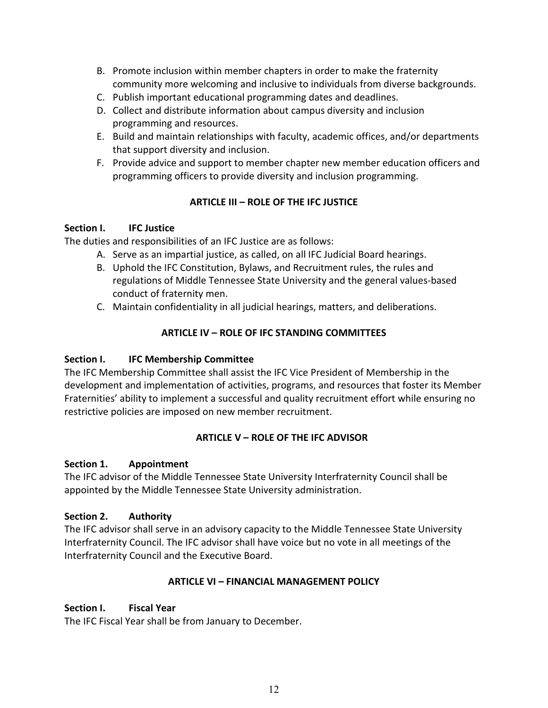- B. Promote inclusion within member chapters in order to make the fraternity community more welcoming and inclusive to individuals from diverse backgrounds.
- C. Publish important educational programming dates and deadlines.
- D. Collect and distribute information about campus diversity and inclusion programming and resources.
- E. Build and maintain relationships with faculty, academic offices, and/or departments that support diversity and inclusion.
- F. Provide advice and support to member chapter new member education officers and programming officers to provide diversity and inclusion programming.

### **ARTICLE III – ROLE OF THE IFC JUSTICE**

#### **Section I. IFC Justice**

The duties and responsibilities of an IFC Justice are as follows:

- A. Serve as an impartial justice, as called, on all IFC Judicial Board hearings.
- B. Uphold the IFC Constitution, Bylaws, and Recruitment rules, the rules and regulations of Middle Tennessee State University and the general values-based conduct of fraternity men.
- C. Maintain confidentiality in all judicial hearings, matters, and deliberations.

## **ARTICLE IV – ROLE OF IFC STANDING COMMITTEES**

#### **Section I. IFC Membership Committee**

The IFC Membership Committee shall assist the IFC Vice President of Membership in the development and implementation of activities, programs, and resources that foster its Member Fraternities' ability to implement a successful and quality recruitment effort while ensuring no restrictive policies are imposed on new member recruitment.

## **ARTICLE V – ROLE OF THE IFC ADVISOR**

#### **Section 1. Appointment**

The IFC advisor of the Middle Tennessee State University Interfraternity Council shall be appointed by the Middle Tennessee State University administration.

#### **Section 2. Authority**

The IFC advisor shall serve in an advisory capacity to the Middle Tennessee State University Interfraternity Council. The IFC advisor shall have voice but no vote in all meetings of the Interfraternity Council and the Executive Board.

#### **ARTICLE VI – FINANCIAL MANAGEMENT POLICY**

#### **Section I. Fiscal Year**

The IFC Fiscal Year shall be from January to December.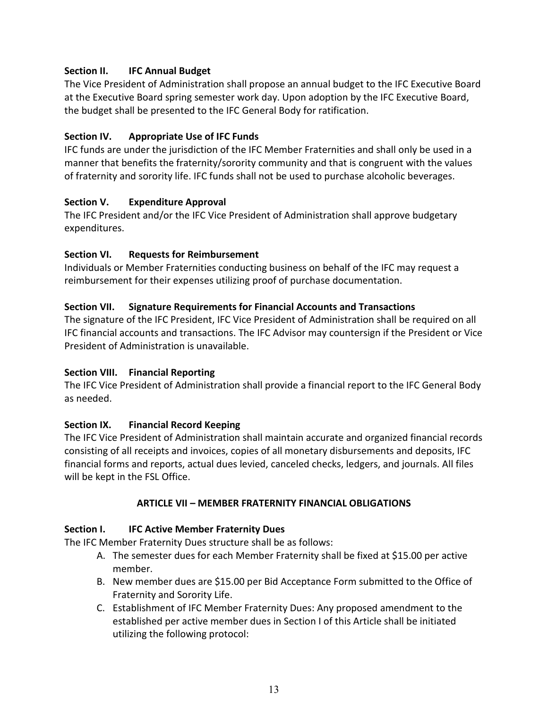#### **Section II. IFC Annual Budget**

The Vice President of Administration shall propose an annual budget to the IFC Executive Board at the Executive Board spring semester work day. Upon adoption by the IFC Executive Board, the budget shall be presented to the IFC General Body for ratification.

#### **Section IV. Appropriate Use of IFC Funds**

IFC funds are under the jurisdiction of the IFC Member Fraternities and shall only be used in a manner that benefits the fraternity/sorority community and that is congruent with the values of fraternity and sorority life. IFC funds shall not be used to purchase alcoholic beverages.

#### **Section V. Expenditure Approval**

The IFC President and/or the IFC Vice President of Administration shall approve budgetary expenditures.

### **Section VI. Requests for Reimbursement**

Individuals or Member Fraternities conducting business on behalf of the IFC may request a reimbursement for their expenses utilizing proof of purchase documentation.

### **Section VII. Signature Requirements for Financial Accounts and Transactions**

The signature of the IFC President, IFC Vice President of Administration shall be required on all IFC financial accounts and transactions. The IFC Advisor may countersign if the President or Vice President of Administration is unavailable.

#### **Section VIII. Financial Reporting**

The IFC Vice President of Administration shall provide a financial report to the IFC General Body as needed.

## **Section IX. Financial Record Keeping**

The IFC Vice President of Administration shall maintain accurate and organized financial records consisting of all receipts and invoices, copies of all monetary disbursements and deposits, IFC financial forms and reports, actual dues levied, canceled checks, ledgers, and journals. All files will be kept in the FSL Office.

#### **ARTICLE VII – MEMBER FRATERNITY FINANCIAL OBLIGATIONS**

## **Section I. IFC Active Member Fraternity Dues**

The IFC Member Fraternity Dues structure shall be as follows:

- A. The semester dues for each Member Fraternity shall be fixed at \$15.00 per active member.
- B. New member dues are \$15.00 per Bid Acceptance Form submitted to the Office of Fraternity and Sorority Life.
- C. Establishment of IFC Member Fraternity Dues: Any proposed amendment to the established per active member dues in Section I of this Article shall be initiated utilizing the following protocol: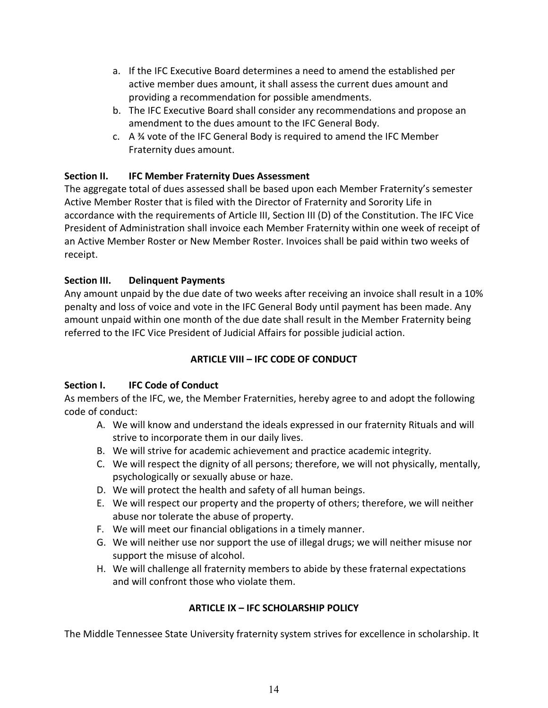- a. If the IFC Executive Board determines a need to amend the established per active member dues amount, it shall assess the current dues amount and providing a recommendation for possible amendments.
- b. The IFC Executive Board shall consider any recommendations and propose an amendment to the dues amount to the IFC General Body.
- c. A ¾ vote of the IFC General Body is required to amend the IFC Member Fraternity dues amount.

## **Section II. IFC Member Fraternity Dues Assessment**

The aggregate total of dues assessed shall be based upon each Member Fraternity's semester Active Member Roster that is filed with the Director of Fraternity and Sorority Life in accordance with the requirements of Article III, Section III (D) of the Constitution. The IFC Vice President of Administration shall invoice each Member Fraternity within one week of receipt of an Active Member Roster or New Member Roster. Invoices shall be paid within two weeks of receipt.

## **Section III. Delinquent Payments**

Any amount unpaid by the due date of two weeks after receiving an invoice shall result in a 10% penalty and loss of voice and vote in the IFC General Body until payment has been made. Any amount unpaid within one month of the due date shall result in the Member Fraternity being referred to the IFC Vice President of Judicial Affairs for possible judicial action.

## **ARTICLE VIII – IFC CODE OF CONDUCT**

## **Section I. IFC Code of Conduct**

As members of the IFC, we, the Member Fraternities, hereby agree to and adopt the following code of conduct:

- A. We will know and understand the ideals expressed in our fraternity Rituals and will strive to incorporate them in our daily lives.
- B. We will strive for academic achievement and practice academic integrity.
- C. We will respect the dignity of all persons; therefore, we will not physically, mentally, psychologically or sexually abuse or haze.
- D. We will protect the health and safety of all human beings.
- E. We will respect our property and the property of others; therefore, we will neither abuse nor tolerate the abuse of property.
- F. We will meet our financial obligations in a timely manner.
- G. We will neither use nor support the use of illegal drugs; we will neither misuse nor support the misuse of alcohol.
- H. We will challenge all fraternity members to abide by these fraternal expectations and will confront those who violate them.

## **ARTICLE IX – IFC SCHOLARSHIP POLICY**

The Middle Tennessee State University fraternity system strives for excellence in scholarship. It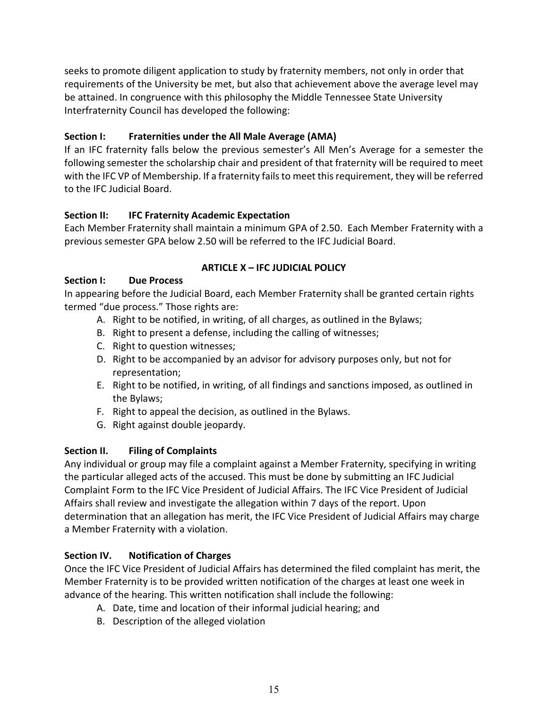seeks to promote diligent application to study by fraternity members, not only in order that requirements of the University be met, but also that achievement above the average level may be attained. In congruence with this philosophy the Middle Tennessee State University Interfraternity Council has developed the following:

## **Section I: Fraternities under the All Male Average (AMA)**

If an IFC fraternity falls below the previous semester's All Men's Average for a semester the following semester the scholarship chair and president of that fraternity will be required to meet with the IFC VP of Membership. If a fraternity fails to meet this requirement, they will be referred to the IFC Judicial Board.

### **Section II: IFC Fraternity Academic Expectation**

Each Member Fraternity shall maintain a minimum GPA of 2.50. Each Member Fraternity with a previous semester GPA below 2.50 will be referred to the IFC Judicial Board.

### **ARTICLE X – IFC JUDICIAL POLICY**

### **Section I: Due Process**

In appearing before the Judicial Board, each Member Fraternity shall be granted certain rights termed "due process." Those rights are:

- A. Right to be notified, in writing, of all charges, as outlined in the Bylaws;
- B. Right to present a defense, including the calling of witnesses;
- C. Right to question witnesses;
- D. Right to be accompanied by an advisor for advisory purposes only, but not for representation;
- E. Right to be notified, in writing, of all findings and sanctions imposed, as outlined in the Bylaws;
- F. Right to appeal the decision, as outlined in the Bylaws.
- G. Right against double jeopardy.

#### **Section II. Filing of Complaints**

Any individual or group may file a complaint against a Member Fraternity, specifying in writing the particular alleged acts of the accused. This must be done by submitting an IFC Judicial Complaint Form to the IFC Vice President of Judicial Affairs. The IFC Vice President of Judicial Affairs shall review and investigate the allegation within 7 days of the report. Upon determination that an allegation has merit, the IFC Vice President of Judicial Affairs may charge a Member Fraternity with a violation.

#### **Section IV. Notification of Charges**

Once the IFC Vice President of Judicial Affairs has determined the filed complaint has merit, the Member Fraternity is to be provided written notification of the charges at least one week in advance of the hearing. This written notification shall include the following:

- A. Date, time and location of their informal judicial hearing; and
- B. Description of the alleged violation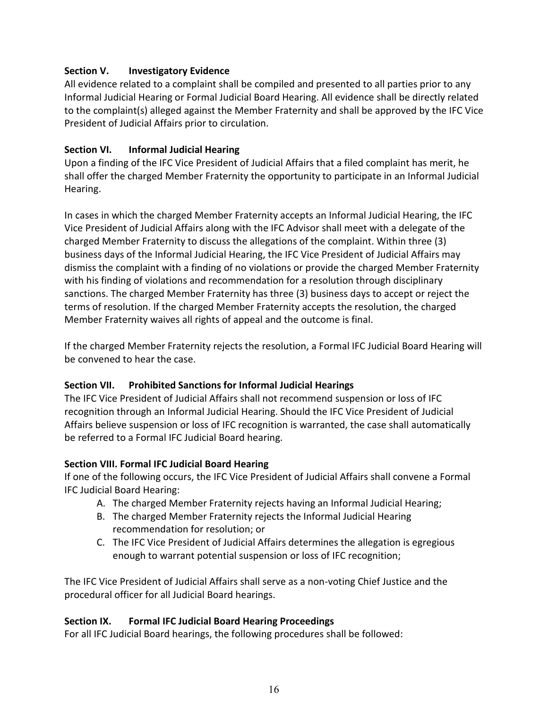### **Section V. Investigatory Evidence**

All evidence related to a complaint shall be compiled and presented to all parties prior to any Informal Judicial Hearing or Formal Judicial Board Hearing. All evidence shall be directly related to the complaint(s) alleged against the Member Fraternity and shall be approved by the IFC Vice President of Judicial Affairs prior to circulation.

### **Section VI. Informal Judicial Hearing**

Upon a finding of the IFC Vice President of Judicial Affairs that a filed complaint has merit, he shall offer the charged Member Fraternity the opportunity to participate in an Informal Judicial Hearing.

In cases in which the charged Member Fraternity accepts an Informal Judicial Hearing, the IFC Vice President of Judicial Affairs along with the IFC Advisor shall meet with a delegate of the charged Member Fraternity to discuss the allegations of the complaint. Within three (3) business days of the Informal Judicial Hearing, the IFC Vice President of Judicial Affairs may dismiss the complaint with a finding of no violations or provide the charged Member Fraternity with his finding of violations and recommendation for a resolution through disciplinary sanctions. The charged Member Fraternity has three (3) business days to accept or reject the terms of resolution. If the charged Member Fraternity accepts the resolution, the charged Member Fraternity waives all rights of appeal and the outcome is final.

If the charged Member Fraternity rejects the resolution, a Formal IFC Judicial Board Hearing will be convened to hear the case.

## **Section VII. Prohibited Sanctions for Informal Judicial Hearings**

The IFC Vice President of Judicial Affairs shall not recommend suspension or loss of IFC recognition through an Informal Judicial Hearing. Should the IFC Vice President of Judicial Affairs believe suspension or loss of IFC recognition is warranted, the case shall automatically be referred to a Formal IFC Judicial Board hearing.

#### **Section VIII. Formal IFC Judicial Board Hearing**

If one of the following occurs, the IFC Vice President of Judicial Affairs shall convene a Formal IFC Judicial Board Hearing:

- A. The charged Member Fraternity rejects having an Informal Judicial Hearing;
- B. The charged Member Fraternity rejects the Informal Judicial Hearing recommendation for resolution; or
- C. The IFC Vice President of Judicial Affairs determines the allegation is egregious enough to warrant potential suspension or loss of IFC recognition;

The IFC Vice President of Judicial Affairs shall serve as a non-voting Chief Justice and the procedural officer for all Judicial Board hearings.

#### **Section IX. Formal IFC Judicial Board Hearing Proceedings**

For all IFC Judicial Board hearings, the following procedures shall be followed: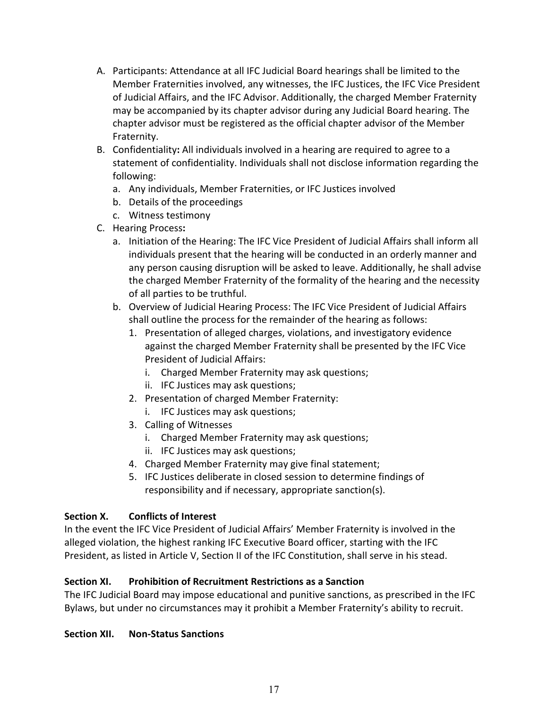- A. Participants: Attendance at all IFC Judicial Board hearings shall be limited to the Member Fraternities involved, any witnesses, the IFC Justices, the IFC Vice President of Judicial Affairs, and the IFC Advisor. Additionally, the charged Member Fraternity may be accompanied by its chapter advisor during any Judicial Board hearing. The chapter advisor must be registered as the official chapter advisor of the Member Fraternity.
- B. Confidentiality**:** All individuals involved in a hearing are required to agree to a statement of confidentiality. Individuals shall not disclose information regarding the following:
	- a. Any individuals, Member Fraternities, or IFC Justices involved
	- b. Details of the proceedings
	- c. Witness testimony
- C. Hearing Process**:**
	- a. Initiation of the Hearing: The IFC Vice President of Judicial Affairs shall inform all individuals present that the hearing will be conducted in an orderly manner and any person causing disruption will be asked to leave. Additionally, he shall advise the charged Member Fraternity of the formality of the hearing and the necessity of all parties to be truthful.
	- b. Overview of Judicial Hearing Process: The IFC Vice President of Judicial Affairs shall outline the process for the remainder of the hearing as follows:
		- 1. Presentation of alleged charges, violations, and investigatory evidence against the charged Member Fraternity shall be presented by the IFC Vice President of Judicial Affairs:
			- i. Charged Member Fraternity may ask questions;
			- ii. IFC Justices may ask questions;
		- 2. Presentation of charged Member Fraternity:
			- i. IFC Justices may ask questions;
		- 3. Calling of Witnesses
			- i. Charged Member Fraternity may ask questions;
			- ii. IFC Justices may ask questions;
		- 4. Charged Member Fraternity may give final statement;
		- 5. IFC Justices deliberate in closed session to determine findings of responsibility and if necessary, appropriate sanction(s).

#### **Section X. Conflicts of Interest**

In the event the IFC Vice President of Judicial Affairs' Member Fraternity is involved in the alleged violation, the highest ranking IFC Executive Board officer, starting with the IFC President, as listed in Article V, Section II of the IFC Constitution, shall serve in his stead.

#### **Section XI. Prohibition of Recruitment Restrictions as a Sanction**

The IFC Judicial Board may impose educational and punitive sanctions, as prescribed in the IFC Bylaws, but under no circumstances may it prohibit a Member Fraternity's ability to recruit.

#### **Section XII. Non-Status Sanctions**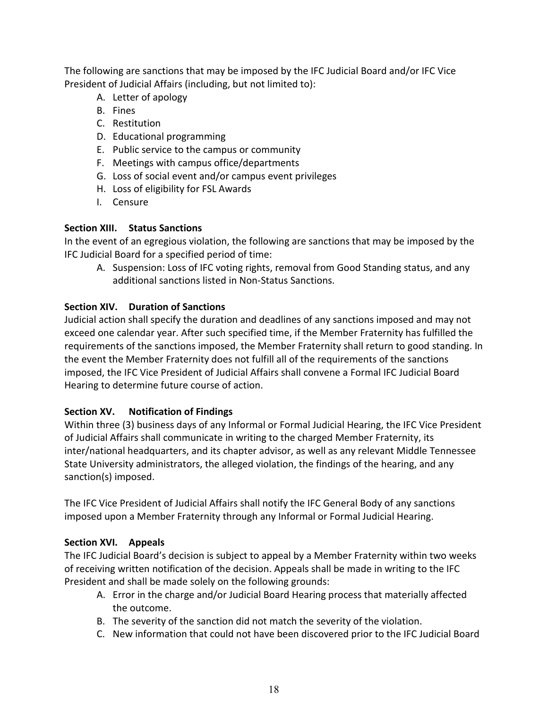The following are sanctions that may be imposed by the IFC Judicial Board and/or IFC Vice President of Judicial Affairs (including, but not limited to):

- A. Letter of apology
- B. Fines
- C. Restitution
- D. Educational programming
- E. Public service to the campus or community
- F. Meetings with campus office/departments
- G. Loss of social event and/or campus event privileges
- H. Loss of eligibility for FSL Awards
- I. Censure

## **Section XIII. Status Sanctions**

In the event of an egregious violation, the following are sanctions that may be imposed by the IFC Judicial Board for a specified period of time:

A. Suspension: Loss of IFC voting rights, removal from Good Standing status, and any additional sanctions listed in Non-Status Sanctions.

## **Section XIV. Duration of Sanctions**

Judicial action shall specify the duration and deadlines of any sanctions imposed and may not exceed one calendar year. After such specified time, if the Member Fraternity has fulfilled the requirements of the sanctions imposed, the Member Fraternity shall return to good standing. In the event the Member Fraternity does not fulfill all of the requirements of the sanctions imposed, the IFC Vice President of Judicial Affairs shall convene a Formal IFC Judicial Board Hearing to determine future course of action.

# **Section XV. Notification of Findings**

Within three (3) business days of any Informal or Formal Judicial Hearing, the IFC Vice President of Judicial Affairs shall communicate in writing to the charged Member Fraternity, its inter/national headquarters, and its chapter advisor, as well as any relevant Middle Tennessee State University administrators, the alleged violation, the findings of the hearing, and any sanction(s) imposed.

The IFC Vice President of Judicial Affairs shall notify the IFC General Body of any sanctions imposed upon a Member Fraternity through any Informal or Formal Judicial Hearing.

# **Section XVI. Appeals**

The IFC Judicial Board's decision is subject to appeal by a Member Fraternity within two weeks of receiving written notification of the decision. Appeals shall be made in writing to the IFC President and shall be made solely on the following grounds:

- A. Error in the charge and/or Judicial Board Hearing process that materially affected the outcome.
- B. The severity of the sanction did not match the severity of the violation.
- C. New information that could not have been discovered prior to the IFC Judicial Board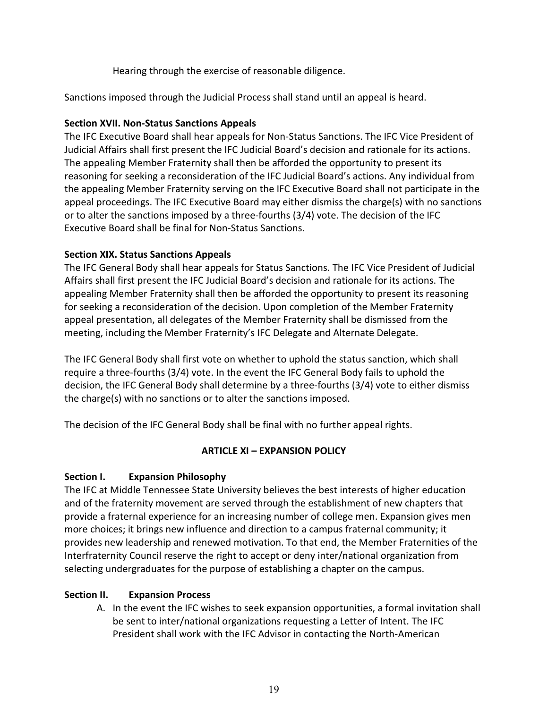Hearing through the exercise of reasonable diligence.

Sanctions imposed through the Judicial Process shall stand until an appeal is heard.

### **Section XVII. Non-Status Sanctions Appeals**

The IFC Executive Board shall hear appeals for Non-Status Sanctions. The IFC Vice President of Judicial Affairs shall first present the IFC Judicial Board's decision and rationale for its actions. The appealing Member Fraternity shall then be afforded the opportunity to present its reasoning for seeking a reconsideration of the IFC Judicial Board's actions. Any individual from the appealing Member Fraternity serving on the IFC Executive Board shall not participate in the appeal proceedings. The IFC Executive Board may either dismiss the charge(s) with no sanctions or to alter the sanctions imposed by a three-fourths (3/4) vote. The decision of the IFC Executive Board shall be final for Non-Status Sanctions.

### **Section XIX. Status Sanctions Appeals**

The IFC General Body shall hear appeals for Status Sanctions. The IFC Vice President of Judicial Affairs shall first present the IFC Judicial Board's decision and rationale for its actions. The appealing Member Fraternity shall then be afforded the opportunity to present its reasoning for seeking a reconsideration of the decision. Upon completion of the Member Fraternity appeal presentation, all delegates of the Member Fraternity shall be dismissed from the meeting, including the Member Fraternity's IFC Delegate and Alternate Delegate.

The IFC General Body shall first vote on whether to uphold the status sanction, which shall require a three-fourths (3/4) vote. In the event the IFC General Body fails to uphold the decision, the IFC General Body shall determine by a three-fourths (3/4) vote to either dismiss the charge(s) with no sanctions or to alter the sanctions imposed.

The decision of the IFC General Body shall be final with no further appeal rights.

#### **ARTICLE XI – EXPANSION POLICY**

## **Section I. Expansion Philosophy**

The IFC at Middle Tennessee State University believes the best interests of higher education and of the fraternity movement are served through the establishment of new chapters that provide a fraternal experience for an increasing number of college men. Expansion gives men more choices; it brings new influence and direction to a campus fraternal community; it provides new leadership and renewed motivation. To that end, the Member Fraternities of the Interfraternity Council reserve the right to accept or deny inter/national organization from selecting undergraduates for the purpose of establishing a chapter on the campus.

## **Section II. Expansion Process**

A. In the event the IFC wishes to seek expansion opportunities, a formal invitation shall be sent to inter/national organizations requesting a Letter of Intent. The IFC President shall work with the IFC Advisor in contacting the North-American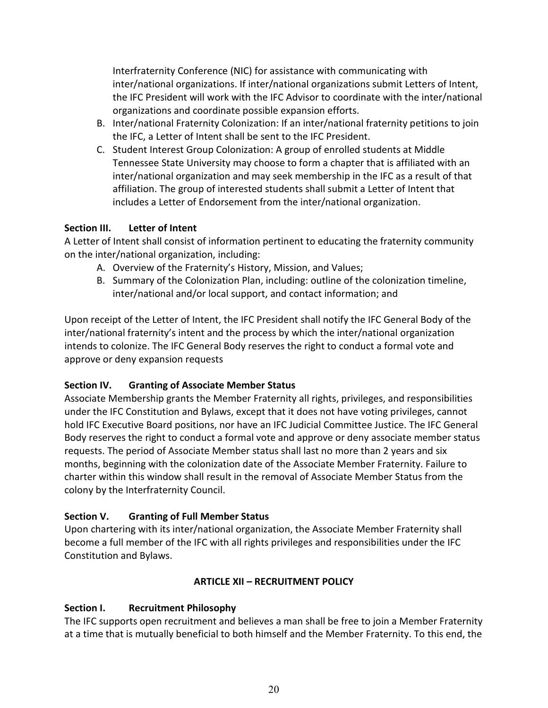Interfraternity Conference (NIC) for assistance with communicating with inter/national organizations. If inter/national organizations submit Letters of Intent, the IFC President will work with the IFC Advisor to coordinate with the inter/national organizations and coordinate possible expansion efforts.

- B. Inter/national Fraternity Colonization: If an inter/national fraternity petitions to join the IFC, a Letter of Intent shall be sent to the IFC President.
- C. Student Interest Group Colonization: A group of enrolled students at Middle Tennessee State University may choose to form a chapter that is affiliated with an inter/national organization and may seek membership in the IFC as a result of that affiliation. The group of interested students shall submit a Letter of Intent that includes a Letter of Endorsement from the inter/national organization.

### **Section III. Letter of Intent**

A Letter of Intent shall consist of information pertinent to educating the fraternity community on the inter/national organization, including:

- A. Overview of the Fraternity's History, Mission, and Values;
- B. Summary of the Colonization Plan, including: outline of the colonization timeline, inter/national and/or local support, and contact information; and

Upon receipt of the Letter of Intent, the IFC President shall notify the IFC General Body of the inter/national fraternity's intent and the process by which the inter/national organization intends to colonize. The IFC General Body reserves the right to conduct a formal vote and approve or deny expansion requests

## **Section IV. Granting of Associate Member Status**

Associate Membership grants the Member Fraternity all rights, privileges, and responsibilities under the IFC Constitution and Bylaws, except that it does not have voting privileges, cannot hold IFC Executive Board positions, nor have an IFC Judicial Committee Justice. The IFC General Body reserves the right to conduct a formal vote and approve or deny associate member status requests. The period of Associate Member status shall last no more than 2 years and six months, beginning with the colonization date of the Associate Member Fraternity. Failure to charter within this window shall result in the removal of Associate Member Status from the colony by the Interfraternity Council.

## **Section V. Granting of Full Member Status**

Upon chartering with its inter/national organization, the Associate Member Fraternity shall become a full member of the IFC with all rights privileges and responsibilities under the IFC Constitution and Bylaws.

## **ARTICLE XII – RECRUITMENT POLICY**

## **Section I. Recruitment Philosophy**

The IFC supports open recruitment and believes a man shall be free to join a Member Fraternity at a time that is mutually beneficial to both himself and the Member Fraternity. To this end, the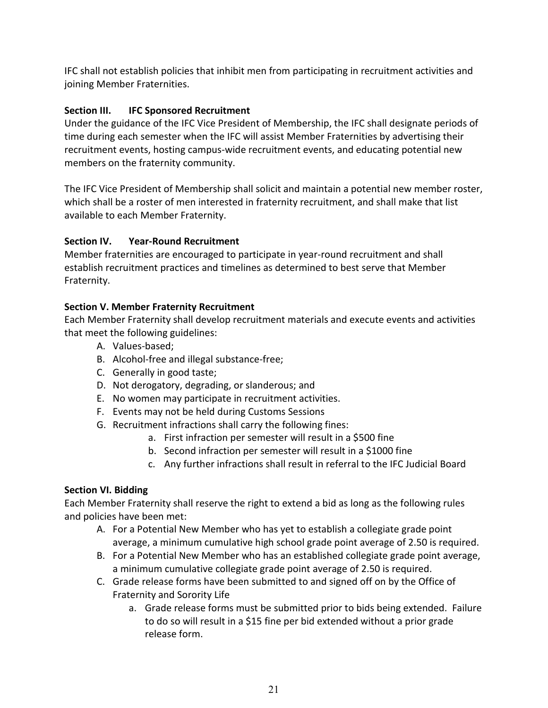IFC shall not establish policies that inhibit men from participating in recruitment activities and joining Member Fraternities.

## **Section III. IFC Sponsored Recruitment**

Under the guidance of the IFC Vice President of Membership, the IFC shall designate periods of time during each semester when the IFC will assist Member Fraternities by advertising their recruitment events, hosting campus-wide recruitment events, and educating potential new members on the fraternity community.

The IFC Vice President of Membership shall solicit and maintain a potential new member roster, which shall be a roster of men interested in fraternity recruitment, and shall make that list available to each Member Fraternity.

## **Section IV. Year-Round Recruitment**

Member fraternities are encouraged to participate in year-round recruitment and shall establish recruitment practices and timelines as determined to best serve that Member Fraternity.

## **Section V. Member Fraternity Recruitment**

Each Member Fraternity shall develop recruitment materials and execute events and activities that meet the following guidelines:

- A. Values-based;
- B. Alcohol-free and illegal substance-free;
- C. Generally in good taste;
- D. Not derogatory, degrading, or slanderous; and
- E. No women may participate in recruitment activities.
- F. Events may not be held during Customs Sessions
- G. Recruitment infractions shall carry the following fines:
	- a. First infraction per semester will result in a \$500 fine
	- b. Second infraction per semester will result in a \$1000 fine
	- c. Any further infractions shall result in referral to the IFC Judicial Board

# **Section VI. Bidding**

Each Member Fraternity shall reserve the right to extend a bid as long as the following rules and policies have been met:

- A. For a Potential New Member who has yet to establish a collegiate grade point average, a minimum cumulative high school grade point average of 2.50 is required.
- B. For a Potential New Member who has an established collegiate grade point average, a minimum cumulative collegiate grade point average of 2.50 is required.
- C. Grade release forms have been submitted to and signed off on by the Office of Fraternity and Sorority Life
	- a. Grade release forms must be submitted prior to bids being extended. Failure to do so will result in a \$15 fine per bid extended without a prior grade release form.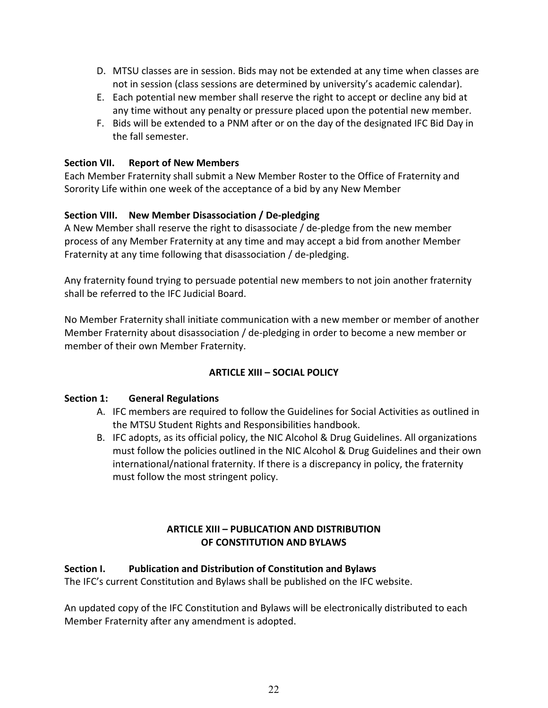- D. MTSU classes are in session. Bids may not be extended at any time when classes are not in session (class sessions are determined by university's academic calendar).
- E. Each potential new member shall reserve the right to accept or decline any bid at any time without any penalty or pressure placed upon the potential new member.
- F. Bids will be extended to a PNM after or on the day of the designated IFC Bid Day in the fall semester.

### **Section VII. Report of New Members**

Each Member Fraternity shall submit a New Member Roster to the Office of Fraternity and Sorority Life within one week of the acceptance of a bid by any New Member

## **Section VIII. New Member Disassociation / De-pledging**

A New Member shall reserve the right to disassociate / de-pledge from the new member process of any Member Fraternity at any time and may accept a bid from another Member Fraternity at any time following that disassociation / de-pledging.

Any fraternity found trying to persuade potential new members to not join another fraternity shall be referred to the IFC Judicial Board.

No Member Fraternity shall initiate communication with a new member or member of another Member Fraternity about disassociation / de-pledging in order to become a new member or member of their own Member Fraternity.

## **ARTICLE XIII – SOCIAL POLICY**

#### **Section 1: General Regulations**

- A. IFC members are required to follow the Guidelines for Social Activities as outlined in the MTSU Student Rights and Responsibilities handbook.
- B. IFC adopts, as its official policy, the NIC Alcohol & Drug Guidelines. All organizations must follow the policies outlined in the NIC Alcohol & Drug Guidelines and their own international/national fraternity. If there is a discrepancy in policy, the fraternity must follow the most stringent policy.

### **ARTICLE XIII – PUBLICATION AND DISTRIBUTION OF CONSTITUTION AND BYLAWS**

#### **Section I. Publication and Distribution of Constitution and Bylaws**

The IFC's current Constitution and Bylaws shall be published on the IFC website.

An updated copy of the IFC Constitution and Bylaws will be electronically distributed to each Member Fraternity after any amendment is adopted.